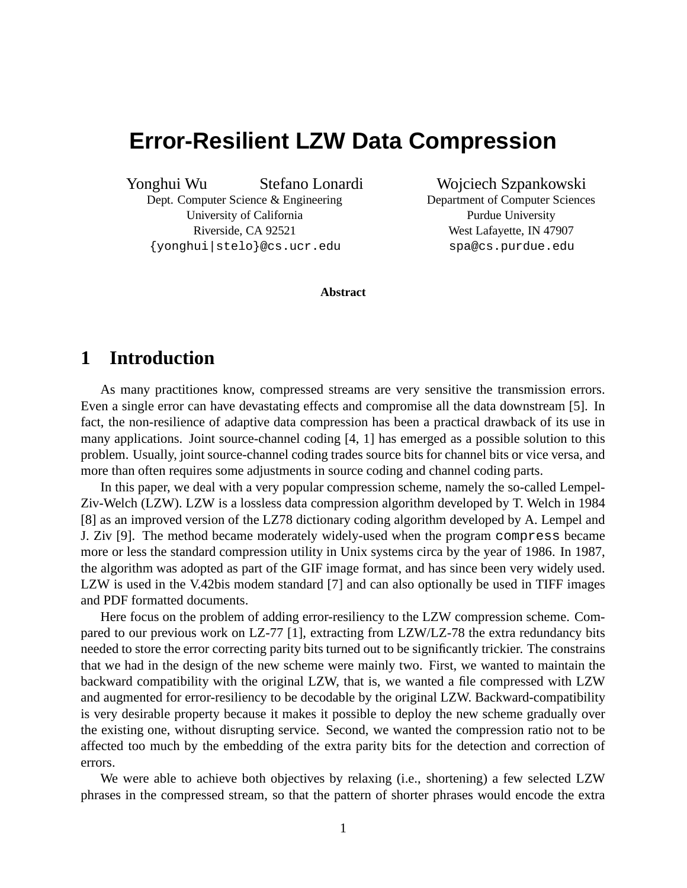# **Error-Resilient LZW Data Compression**

Yonghui Wu Stefano Lonardi

Dept. Computer Science & Engineering University of California Riverside, CA 92521 {yonghui|stelo}@cs.ucr.edu

Wojciech Szpankowski Department of Computer Sciences Purdue University

West Lafayette, IN 47907 spa@cs.purdue.edu

**Abstract**

## **1 Introduction**

As many practitiones know, compressed streams are very sensitive the transmission errors. Even a single error can have devastating effects and compromise all the data downstream [5]. In fact, the non-resilience of adaptive data compression has been a practical drawback of its use in many applications. Joint source-channel coding [4, 1] has emerged as a possible solution to this problem. Usually, joint source-channel coding trades source bits for channel bits or vice versa, and more than often requires some adjustments in source coding and channel coding parts.

In this paper, we deal with a very popular compression scheme, namely the so-called Lempel-Ziv-Welch (LZW). LZW is a lossless data compression algorithm developed by T. Welch in 1984 [8] as an improved version of the LZ78 dictionary coding algorithm developed by A. Lempel and J. Ziv [9]. The method became moderately widely-used when the program compress became more or less the standard compression utility in Unix systems circa by the year of 1986. In 1987, the algorithm was adopted as part of the GIF image format, and has since been very widely used. LZW is used in the V.42bis modem standard [7] and can also optionally be used in TIFF images and PDF formatted documents.

Here focus on the problem of adding error-resiliency to the LZW compression scheme. Compared to our previous work on LZ-77 [1], extracting from LZW/LZ-78 the extra redundancy bits needed to store the error correcting parity bits turned out to be significantly trickier. The constrains that we had in the design of the new scheme were mainly two. First, we wanted to maintain the backward compatibility with the original LZW, that is, we wanted a file compressed with LZW and augmented for error-resiliency to be decodable by the original LZW. Backward-compatibility is very desirable property because it makes it possible to deploy the new scheme gradually over the existing one, without disrupting service. Second, we wanted the compression ratio not to be affected too much by the embedding of the extra parity bits for the detection and correction of errors.

We were able to achieve both objectives by relaxing (i.e., shortening) a few selected LZW phrases in the compressed stream, so that the pattern of shorter phrases would encode the extra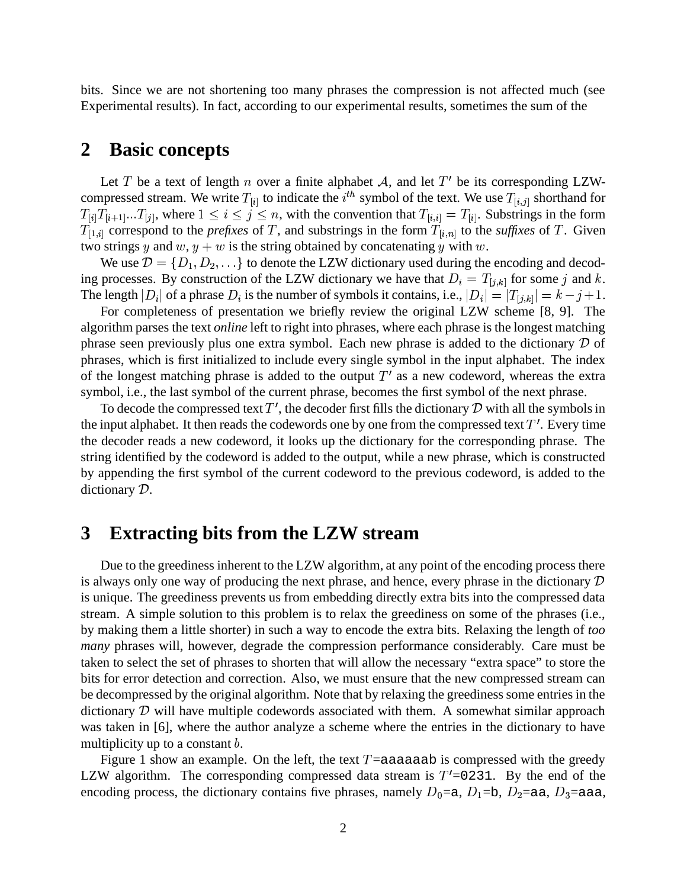bits. Since we are not shortening too many phrases the compression is not affected much (see Experimental results). In fact, according to our experimental results, sometimes the sum of the

## **2 Basic concepts**

Let T be a text of length n over a finite alphabet A, and let T' be its corresponding LZWcompressed stream. We write  $T_{[i]}$  to indicate the  $i^{th}$  symbol of the text. We use  $T_{[i,j]}$  shorthand for  $T_{[i]}T_{[i+1]}...T_{[j]}$ , where  $1 \leq i \leq j \leq n$ , with the convention that  $T_{[i,i]} = T_{[i]}$ . Substrings in the form  $T_{[1,i]}$  correspond to the *prefixes* of T, and substrings in the form  $T_{[i,n]}$  to the *suffixes* of T. Given two strings y and  $w, y+w$  is the string obtained by concatenating y with w.

We use  $\mathcal{D} = \{D_1, D_2, \ldots\}$  to denote the LZW dictionary used during the encoding and decoding processes. By construction of the LZW dictionary we have that  $D_i = T_{[j,k]}$  for some j and k. The length  $|D_i|$  of a phrase  $D_i$  is the number of symbols it contains, i.e.,  $|D_i| = |T_{[j,k]}| = k - j + 1$ .

For completeness of presentation we briefly review the original LZW scheme [8, 9]. The algorithm parses the text *online* left to right into phrases, where each phrase is the longest matching phrase seen previously plus one extra symbol. Each new phrase is added to the dictionary  $\mathcal D$  of phrases, which is first initialized to include every single symbol in the input alphabet. The index of the longest matching phrase is added to the output  $T'$  as a new codeword, whereas the extra symbol, i.e., the last symbol of the current phrase, becomes the first symbol of the next phrase.

To decode the compressed text  $T'$ , the decoder first fills the dictionary  $D$  with all the symbols in the input alphabet. It then reads the codewords one by one from the compressed text  $T'$ . Every time the decoder reads a new codeword, it looks up the dictionary for the corresponding phrase. The string identified by the codeword is added to the output, while a new phrase, which is constructed by appending the first symbol of the current codeword to the previous codeword, is added to the dictionary  $D$ .

## **3 Extracting bits from the LZW stream**

Due to the greediness inherent to the LZW algorithm, at any point of the encoding process there is always only one way of producing the next phrase, and hence, every phrase in the dictionary  $\mathcal D$ is unique. The greediness prevents us from embedding directly extra bits into the compressed data stream. A simple solution to this problem is to relax the greediness on some of the phrases (i.e., by making them a little shorter) in such a way to encode the extra bits. Relaxing the length of *too many* phrases will, however, degrade the compression performance considerably. Care must be taken to select the set of phrases to shorten that will allow the necessary "extra space" to store the bits for error detection and correction. Also, we must ensure that the new compressed stream can be decompressed by the original algorithm. Note that by relaxing the greedinesssome entries in the dictionary  $D$  will have multiple codewords associated with them. A somewhat similar approach was taken in [6], where the author analyze a scheme where the entries in the dictionary to have multiplicity up to a constant  $\mathbf{b}$ .

Figure 1 show an example. On the left, the text  $T =$  aaaaaab is compressed with the greedy LZW algorithm. The corresponding compressed data stream is  $T' = 0.0231$ . By the end of the encoding process, the dictionary contains five phrases, namely  $D_0 = a$ ,  $D_1 = b$ ,  $D_2 = aa$ ,  $D_3 = aa$ ,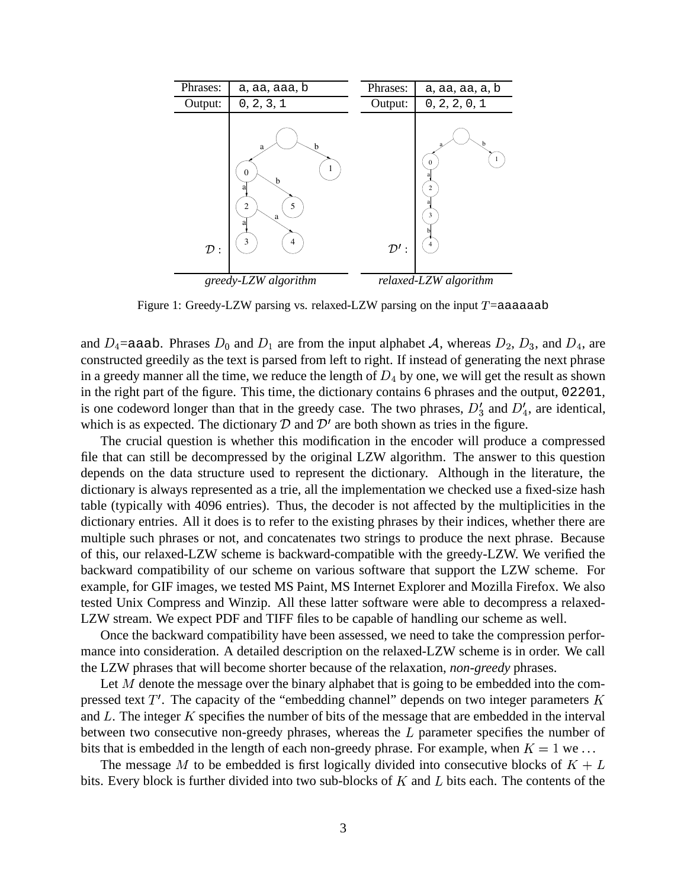| Phrases:       | a, aa, aaa, b                                                          | Phrases:         | a, aa, aa, a, b                     |  |  |  |
|----------------|------------------------------------------------------------------------|------------------|-------------------------------------|--|--|--|
| Output:        | 0, 2, 3, 1                                                             | Output:          | 0, 2, 2, 0, 1                       |  |  |  |
| $\mathcal{D}:$ | b<br>a<br>1<br>$\mathbf{0}$<br>b<br>5<br>$\overline{2}$<br>a<br>3<br>4 | $\mathcal{D}'$ : | $\mathbf{0}$<br>$\overline{c}$<br>3 |  |  |  |
|                | greedy-LZW algorithm                                                   |                  | relaxed-LZW algorithm               |  |  |  |

Figure 1: Greedy-LZW parsing vs. relaxed-LZW parsing on the input  $T = a$ aaaaab

and  $D_4$ =aaab. Phrases  $D_0$  and  $D_1$  are from the input alphabet A, whereas  $D_2$ ,  $D_3$ , and  $D_4$ , are constructed greedily as the text is parsed from left to right. If instead of generating the next phrase in a greedy manner all the time, we reduce the length of  $D_4$  by one, we will get the result as shown in the right part of the figure. This time, the dictionary contains 6 phrases and the output, 02201, is one codeword longer than that in the greedy case. The two phrases,  $D'_3$  and  $D'_4$ , are identical, which is as expected. The dictionary  $D$  and  $D'$  are both shown as tries in the figure.

The crucial question is whether this modification in the encoder will produce a compressed file that can still be decompressed by the original LZW algorithm. The answer to this question depends on the data structure used to represent the dictionary. Although in the literature, the dictionary is always represented as a trie, all the implementation we checked use a fixed-size hash table (typically with 4096 entries). Thus, the decoder is not affected by the multiplicities in the dictionary entries. All it does is to refer to the existing phrases by their indices, whether there are multiple such phrases or not, and concatenates two strings to produce the next phrase. Because of this, our relaxed-LZW scheme is backward-compatible with the greedy-LZW. We verified the backward compatibility of our scheme on various software that support the LZW scheme. For example, for GIF images, we tested MS Paint, MS Internet Explorer and Mozilla Firefox. We also tested Unix Compress and Winzip. All these latter software were able to decompress a relaxed-LZW stream. We expect PDF and TIFF files to be capable of handling our scheme as well.

Once the backward compatibility have been assessed, we need to take the compression performance into consideration. A detailed description on the relaxed-LZW scheme is in order. We call the LZW phrases that will become shorter because of the relaxation, *non-greedy* phrases.

Let  $M$  denote the message over the binary alphabet that is going to be embedded into the compressed text  $T'$ . The capacity of the "embedding channel" depends on two integer parameters  $K$ and  $L$ . The integer  $K$  specifies the number of bits of the message that are embedded in the interval between two consecutive non-greedy phrases, whereas the  $L$  parameter specifies the number of bits that is embedded in the length of each non-greedy phrase. For example, when  $K = 1$  we...

The message M to be embedded is first logically divided into consecutive blocks of  $K+L$ bits. Every block is further divided into two sub-blocks of  $K$  and  $L$  bits each. The contents of the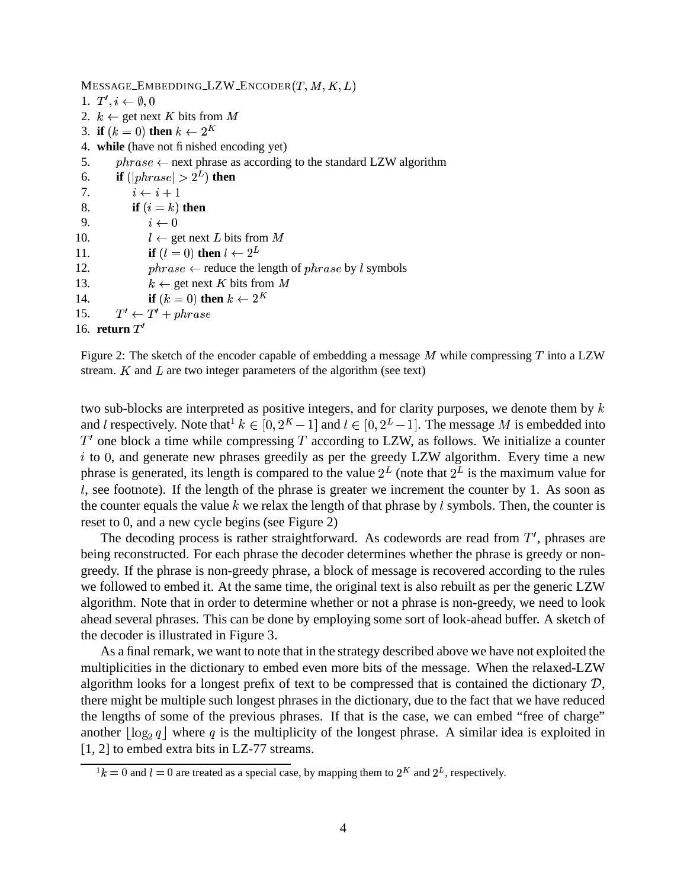Message\_Embedding\_LZW\_Encoder $(T, M, K, L)$ 

```
1. T', i \leftarrow \emptyset, 02. k \leftarrow get next K bits from M
 3. if (k = 0) then k \leftarrow 2^K4. while (have not finished encoding yet)
5. \therefore \text{phrase} \leftarrow next phrase as according to the standard LZW algorithm
 6. if (|phrase| > 2^L) then
7. i \leftarrow i+18. if (i = k) then
9. i \leftarrow 010. l \leftarrow \text{get next } L \text{ bits from } M11. if (l = 0) then l \leftarrow 2^L12. phrase \leftarrow reduce the length of phrase by l symbols
13. k \leftarrow \text{get next } K \text{ bits from } M14. if (k = 0) then k \leftarrow 2^K15. T' \leftarrow T' + phrase16. return T'
```
Figure 2: The sketch of the encoder capable of embedding a message  $M$  while compressing  $T$  into a LZW stream.  $K$  and  $L$  are two integer parameters of the algorithm (see text)

two sub-blocks are interpreted as positive integers, and for clarity purposes, we denote them by  $k$ and l respectively. Note that  $k \in [0, 2^K - 1]$  and  $l \in [0, 2^L - 1]$ . The message M is embedded into  $T'$  one block a time while compressing T according to LZW, as follows. We initialize a counter  $i$  to 0, and generate new phrases greedily as per the greedy LZW algorithm. Every time a new phrase is generated, its length is compared to the value  $2^L$  (note that  $2^L$  is the maximum value for  $l$ , see footnote). If the length of the phrase is greater we increment the counter by 1. As soon as the counter equals the value  $k$  we relax the length of that phrase by  $l$  symbols. Then, the counter is reset to 0, and a new cycle begins (see Figure 2)

The decoding process is rather straightforward. As codewords are read from  $T'$ , phrases are being reconstructed. For each phrase the decoder determines whether the phrase is greedy or nongreedy. If the phrase is non-greedy phrase, a block of message is recovered according to the rules we followed to embed it. At the same time, the original text is also rebuilt as per the generic LZW algorithm. Note that in order to determine whether or not a phrase is non-greedy, we need to look ahead several phrases. This can be done by employing some sort of look-ahead buffer. A sketch of the decoder is illustrated in Figure 3.

As a final remark, we want to note that in the strategy described above we have not exploited the multiplicities in the dictionary to embed even more bits of the message. When the relaxed-LZW algorithm looks for a longest prefix of text to be compressed that is contained the dictionary  $D$ , there might be multiple such longest phrases in the dictionary, due to the fact that we have reduced the lengths of some of the previous phrases. If that is the case, we can embed "free of charge" another  $\lfloor \log_2 q \rfloor$  where q is the multiplicity of the longest phrase. A similar idea is exploited in [1, 2] to embed extra bits in LZ-77 streams.

 $1 k = 0$  and  $l = 0$  are treated as a special case, by mapping them to  $2^K$  and  $2^L$ , respectively.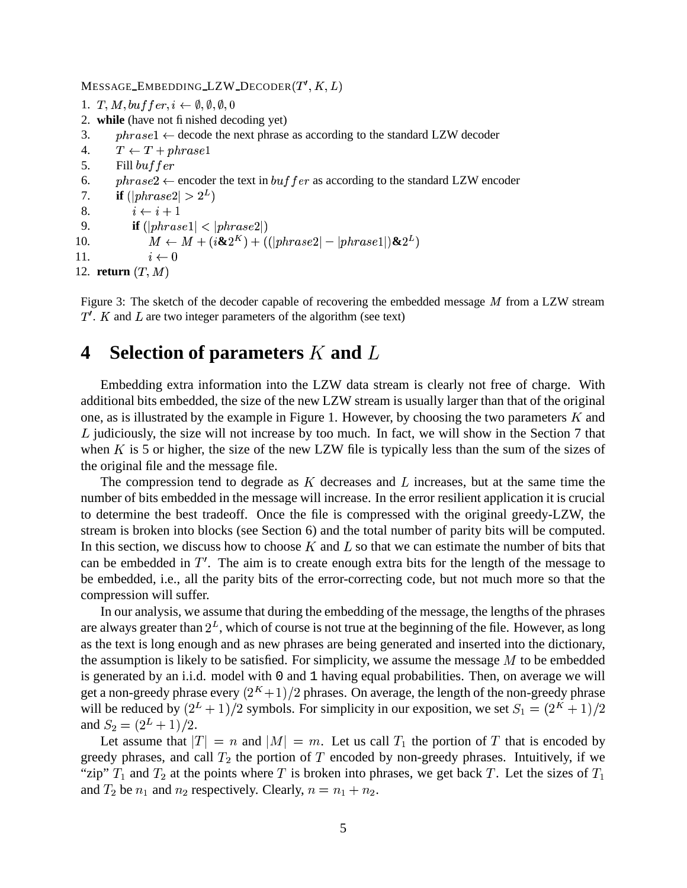MESSAGE\_EMBEDDING\_LZW\_DECODER $(T^{\prime},K,L)$ 

```
1. T, M, buffer, i \leftarrow \emptyset, \emptyset, \emptyset, 02. while (have not finished decoding yet)
 3. phrasel \leftarrow decode the next phrase as according to the standard LZW decoder
4.   T \leftarrow T + \text{phrase}15. Fill buffer6. phrase 2 \leftarrow encoder the text in buf fer as according to the standard LZW encoder
7. if (|phrase2| > 2<sup>L</sup>)8. i \leftarrow i+19. if (|phrase1| < |phrase2|)10. M \leftarrow M + (i\&2^K) + ((|phrase2| - | phrase1|)\&2^K)11. i \leftarrow 012. return (T, M)
```
Figure 3: The sketch of the decoder capable of recovering the embedded message  $M$  from a LZW stream  $T'$ . K and L are two integer parameters of the algorithm (see text)

## **4 Selection of parameters** K and L

Embedding extra information into the LZW data stream is clearly not free of charge. With additional bits embedded, the size of the new LZW stream is usually larger than that of the original one, as is illustrated by the example in Figure 1. However, by choosing the two parameters  $K$  and  $L$  judiciously, the size will not increase by too much. In fact, we will show in the Section 7 that when  $K$  is 5 or higher, the size of the new LZW file is typically less than the sum of the sizes of the original file and the message file.

The compression tend to degrade as  $K$  decreases and  $L$  increases, but at the same time the number of bits embedded in the message will increase. In the error resilient application it is crucial to determine the best tradeoff. Once the file is compressed with the original greedy-LZW, the stream is broken into blocks (see Section 6) and the total number of parity bits will be computed. In this section, we discuss how to choose  $K$  and  $L$  so that we can estimate the number of bits that can be embedded in  $T'$ . The aim is to create enough extra bits for the length of the message to be embedded, i.e., all the parity bits of the error-correcting code, but not much more so that the compression will suffer.

In our analysis, we assume that during the embedding of the message, the lengths of the phrases are always greater than  $2^L$ , which of course is not true at the beginning of the file. However, as long as the text is long enough and as new phrases are being generated and inserted into the dictionary, the assumption is likely to be satisfied. For simplicity, we assume the message  $M$  to be embedded is generated by an i.i.d. model with 0 and 1 having equal probabilities. Then, on average we will get a non-greedy phrase every  $(2<sup>K</sup> + 1)/2$  phrases. On average, the length of the non-greedy phrase will be reduced by  $(2^L + 1)/2$  symbols. For simplicity in our exposition, we set  $S_1 = (2^K + 1)/2$ and  $S_2 = (2^L + 1)/2$ .

Let assume that  $|T| = n$  and  $|M| = m$ . Let us call  $T_1$  the portion of T that is encoded by greedy phrases, and call  $T_2$  the portion of T encoded by non-greedy phrases. Intuitively, if we "zip"  $T_1$  and  $T_2$  at the points where T is broken into phrases, we get back T. Let the sizes of  $T_1$ and  $T_2$  be  $n_1$  and  $n_2$  respectively. Clearly,  $n = n_1 + n_2$ . <sup>+</sup>  $2\cdot$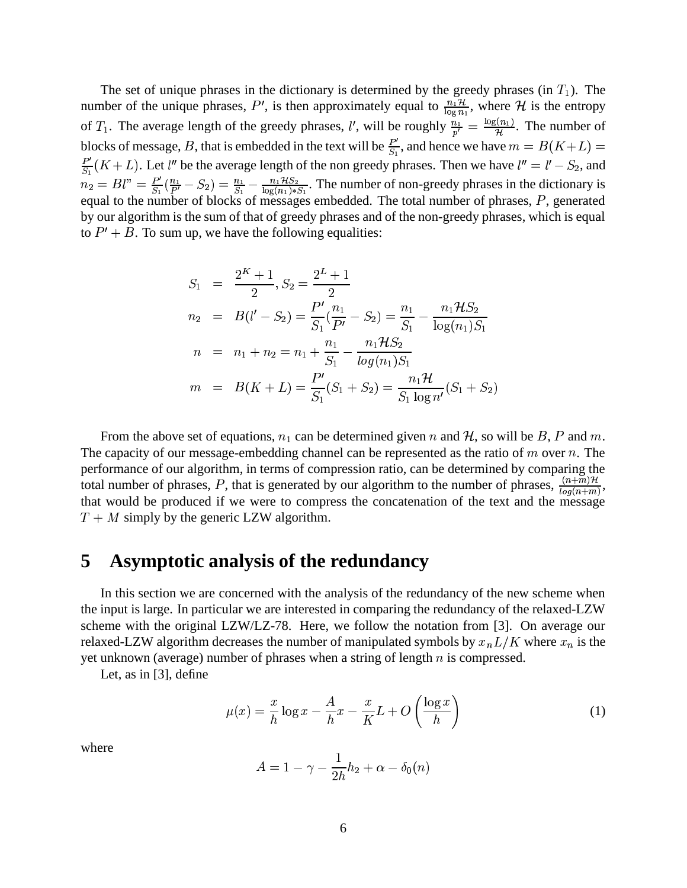The set of unique phrases in the dictionary is determined by the greedy phrases (in  $T_1$ ). The number of the unique phrases in the abusing is determined by the  $\sum_{i=1}^n \frac{n_i \mathcal{H}}{\log n_i}$ , where  $\mathcal{H}$  is the entropy of  $T_1$ . The average length of the greedy phrases, l', will be roughly  $\frac{n_1}{n'} = \frac{\log(n_1)}{n'}$ . The number of blocks of message, B, that is embedded in the text will be  $\frac{P'}{S}$ , and hence we have  $m = B(K+L)$  =  $\cdots$   $\cdots$   $\cdots$  $\frac{P'}{S_1}(K+L)$ . Let l'' be the average length of the non greedy phrases. Then we have  $l''=l'-S_2$ , and . . <sup>G</sup>  $_2$ , and  $\cdot$  .  $\cdot$  .  $P_2 = Bl'' = \frac{P'}{S}(\frac{n_1}{P'} - S_2) =$  $\frac{P'}{a}(\frac{n_1}{P'}-S_2)$ : . . . . . . . . . . . . . <sup>G</sup>  $T_2$ ) =  $\frac{n_1}{S_1} - \frac{n_1 \mathcal{H} S_2}{\log(n_1) * S_1}$ . The number of non-greedy phrases in the dictionary is equal to the number of blocks of messages embedded. The total number of phrases,  $P$ , generated by our algorithm is the sum of that of greedy phrases and of the non-greedy phrases, which is equal to  $P' + B$ . To sum up, we have the following equalities:

$$
S_1 = \frac{2^K + 1}{2}, S_2 = \frac{2^L + 1}{2}
$$
  
\n
$$
n_2 = B(l' - S_2) = \frac{P'}{S_1}(\frac{n_1}{P'} - S_2) = \frac{n_1}{S_1} - \frac{n_1 \mathcal{H} S_2}{\log(n_1) S_1}
$$
  
\n
$$
n = n_1 + n_2 = n_1 + \frac{n_1}{S_1} - \frac{n_1 \mathcal{H} S_2}{\log(n_1) S_1}
$$
  
\n
$$
m = B(K + L) = \frac{P'}{S_1} (S_1 + S_2) = \frac{n_1 \mathcal{H}}{S_1 \log n'} (S_1 + S_2)
$$

From the above set of equations,  $n_1$  can be determined given n and H, so will be B, P and m. The capacity of our message-embedding channel can be represented as the ratio of  $m$  over  $n$ . The performance of our algorithm, in terms of compression ratio, can be determined by comparing the total number of phrases, P, that is generated by our algorithm to the number of phrases,  $\frac{(n+m)H}{log(n+m)}$ , that would be produced if we were to compress the concatenation of the text and the message  $T + M$  simply by the generic LZW algorithm.

#### **5 Asymptotic analysis of the redundancy**

In this section we are concerned with the analysis of the redundancy of the new scheme when the input is large. In particular we are interested in comparing the redundancy of the relaxed-LZW scheme with the original LZW/LZ-78. Here, we follow the notation from [3]. On average our relaxed-LZW algorithm decreases the number of manipulated symbols by  $x_n L/K$  where  $x_n$  is the yet unknown (average) number of phrases when a string of length  $n$  is compressed.

Let, as in [3], define

$$
\mu(x) = \frac{x}{h} \log x - \frac{A}{h} x - \frac{x}{K} L + O\left(\frac{\log x}{h}\right) \tag{1}
$$

where

$$
A=1-\gamma-\frac{1}{2h}h_2+\alpha-\delta_0(n)
$$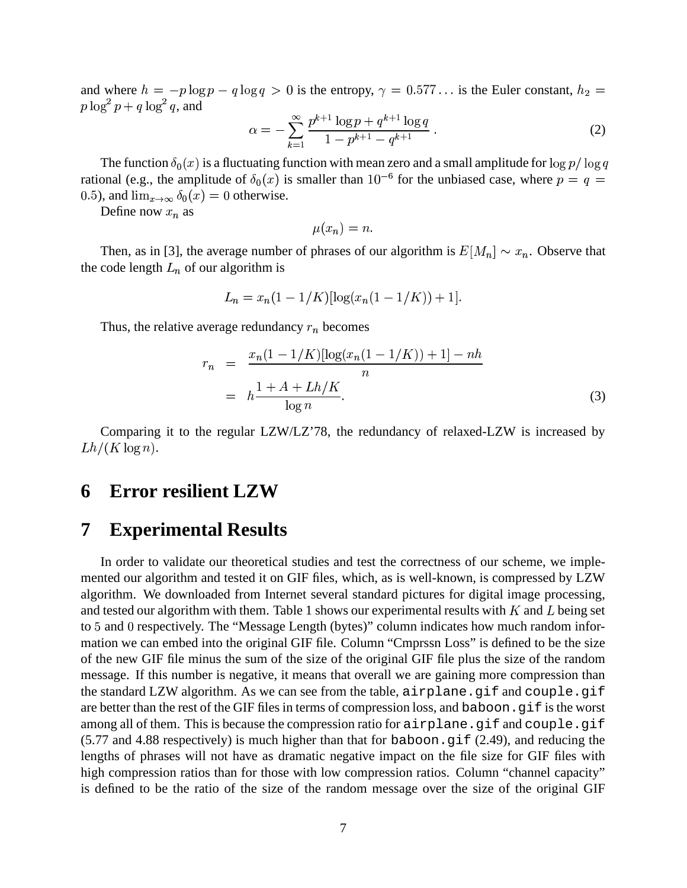and where  $h = -p \log p - q \log q > 0$  is the entropy,  $\gamma = 0.577...$  is the Euler constant,  $h_2 =$ where  $h = -p \log p - q \log q > 0$  is the entropy,  $\gamma = 0.577...$  is the Euler constant,  $h_2 =$  $p \log^2 p + q \log^2 q$ , and

$$
\alpha = -\sum_{k=1}^{\infty} \frac{p^{k+1} \log p + q^{k+1} \log q}{1 - p^{k+1} - q^{k+1}}.
$$
 (2)

The function  $\delta_0(x)$  is a fluctuating function with mean zero and a small amplitude for  $\log p / \log q$ rational (e.g., the amplitude of  $\delta_0(x)$  is smaller than  $10^{-6}$  for the unbiased case, where  $p = q =$ 0.5), and  $\lim_{x\to\infty}\delta_0(x)=0$  oth  $n_0(x) = 0$  otherwise.

Define now  $x_n$  as

$$
\mu(x_n)=n.
$$

Then, as in [3], the average number of phrases of our algorithm is  $E[M_n] \sim x_n$ . Observe that the code length  $L_n$  of our algorithm is

$$
L_n = x_n(1 - 1/K)[\log(x_n(1 - 1/K)) + 1].
$$

Thus, the relative average redundancy  $r_n$  becomes

$$
r_n = \frac{x_n(1 - 1/K)[\log(x_n(1 - 1/K)) + 1] - nh}{n}
$$
  
=  $h \frac{1 + A + Lh/K}{\log n}$ . (3)

Comparing it to the regular LZW/LZ'78, the redundancy of relaxed-LZW is increased by  $Lh/(K \log n).$ 

## **6 Error resilient LZW**

## **7 Experimental Results**

In order to validate our theoretical studies and test the correctness of our scheme, we implemented our algorithm and tested it on GIF files, which, as is well-known, is compressed by LZW algorithm. We downloaded from Internet several standard pictures for digital image processing, and tested our algorithm with them. Table 1 shows our experimental results with  $K$  and  $L$  being set to 5 and 0 respectively. The "Message Length (bytes)" column indicates how much random information we can embed into the original GIF file. Column "Cmprssn Loss" is defined to be the size of the new GIF file minus the sum of the size of the original GIF file plus the size of the random message. If this number is negative, it means that overall we are gaining more compression than the standard LZW algorithm. As we can see from the table, airplane.gif and couple.gif are better than the rest of the GIF files in terms of compression loss, and baboon.gif is the worst among all of them. This is because the compression ratio for airplane.gif and couple.gif  $(5.77 \text{ and } 4.88 \text{ respectively})$  is much higher than that for baboon.gif  $(2.49)$ , and reducing the lengths of phrases will not have as dramatic negative impact on the file size for GIF files with high compression ratios than for those with low compression ratios. Column "channel capacity" is defined to be the ratio of the size of the random message over the size of the original GIF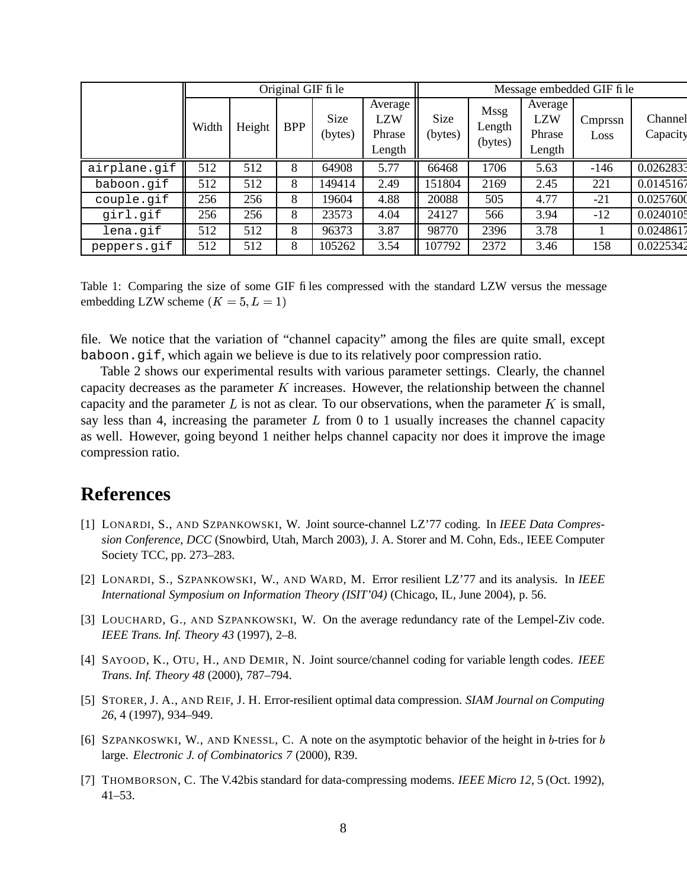|              | Original GIF fi le |        |            |                 | Message embedded GIF fi le                |                 |                                  |                                           |                 |                     |
|--------------|--------------------|--------|------------|-----------------|-------------------------------------------|-----------------|----------------------------------|-------------------------------------------|-----------------|---------------------|
|              | Width              | Height | <b>BPP</b> | Size<br>(bytes) | Average<br><b>LZW</b><br>Phrase<br>Length | Size<br>(bytes) | <b>Mssg</b><br>Length<br>(bytes) | Average<br><b>LZW</b><br>Phrase<br>Length | Cmprssn<br>Loss | Channel<br>Capacity |
| airplane.gif | 512                | 512    | 8          | 64908           | 5.77                                      | 66468           | 1706                             | 5.63                                      | $-146$          | 0.0262833           |
| baboon.gif   | 512                | 512    | 8          | 149414          | 2.49                                      | 151804          | 2169                             | 2.45                                      | 221             | 0.0145167           |
| couple.gif   | 256                | 256    | 8          | 19604           | 4.88                                      | 20088           | 505                              | 4.77                                      | $-21$           | 0.0257600           |
| girl.gif     | 256                | 256    | 8          | 23573           | 4.04                                      | 24127           | 566                              | 3.94                                      | $-12$           | 0.0240105           |
| lena.gif     | 512                | 512    | 8          | 96373           | 3.87                                      | 98770           | 2396                             | 3.78                                      |                 | 0.0248617           |
| peppers.gif  | 512                | 512    | 8          | 105262          | 3.54                                      | 107792          | 2372                             | 3.46                                      | 158             | 0.0225342           |

Table 1: Comparing the size of some GIF files compressed with the standard LZW versus the message embedding LZW scheme  $(K = 5, L = 1)$ 

file. We notice that the variation of "channel capacity" among the files are quite small, except baboon.gif, which again we believe is due to its relatively poor compression ratio.

Table 2 shows our experimental results with various parameter settings. Clearly, the channel capacity decreases as the parameter  $K$  increases. However, the relationship between the channel capacity and the parameter  $L$  is not as clear. To our observations, when the parameter  $K$  is small, say less than 4, increasing the parameter  $L$  from 0 to 1 usually increases the channel capacity as well. However, going beyond 1 neither helps channel capacity nor does it improve the image compression ratio.

# **References**

- [1] LONARDI, S., AND SZPANKOWSKI, W. Joint source-channel LZ'77 coding. In *IEEE Data Compression Conference, DCC* (Snowbird, Utah, March 2003), J. A. Storer and M. Cohn, Eds., IEEE Computer Society TCC, pp. 273–283.
- [2] LONARDI, S., SZPANKOWSKI, W., AND WARD, M. Error resilient LZ'77 and its analysis. In *IEEE International Symposium on Information Theory (ISIT'04)* (Chicago, IL, June 2004), p. 56.
- [3] LOUCHARD, G., AND SZPANKOWSKI, W. On the average redundancy rate of the Lempel-Ziv code. *IEEE Trans. Inf. Theory 43* (1997), 2–8.
- [4] SAYOOD, K., OTU, H., AND DEMIR, N. Joint source/channel coding for variable length codes. *IEEE Trans. Inf. Theory 48* (2000), 787–794.
- [5] STORER, J. A., AND REIF, J. H. Error-resilient optimal data compression. *SIAM Journal on Computing 26*, 4 (1997), 934–949.
- [6] SZPANKOSWKI, W., AND KNESSL, C. A note on the asymptotic behavior of the height in b-tries for b large. *Electronic J. of Combinatorics 7* (2000), R39.
- [7] THOMBORSON, C. The V.42bis standard for data-compressing modems. *IEEE Micro 12*, 5 (Oct. 1992),  $41 - 53$ .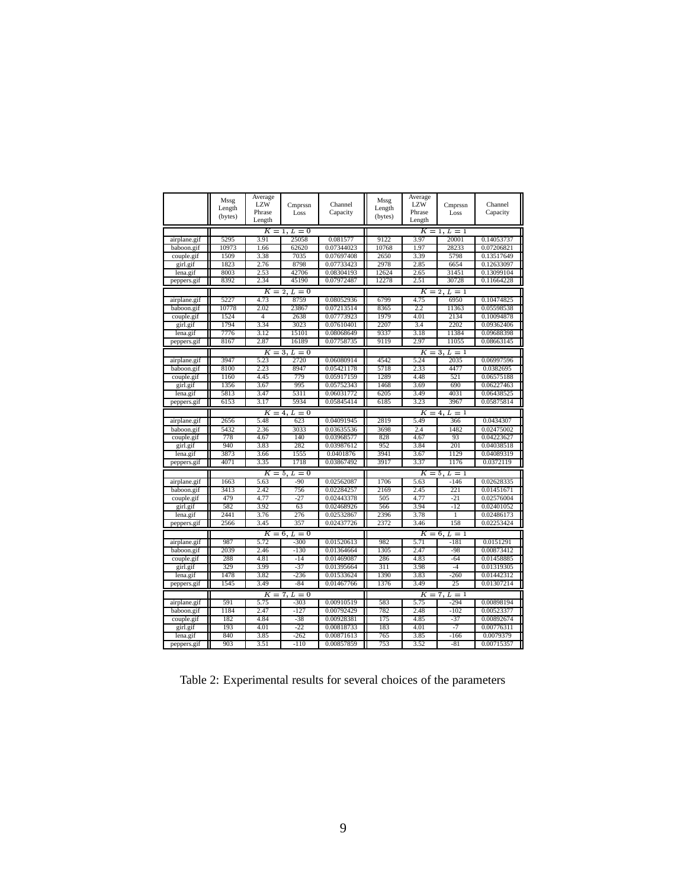|              | Mssg    | Average        |                           |            | Mssg                | Average    |         |            |  |
|--------------|---------|----------------|---------------------------|------------|---------------------|------------|---------|------------|--|
|              | Length  | <b>LZW</b>     | Cmprssn                   | Channel    | Length              | <b>LZW</b> | Cmprssn | Channel    |  |
|              | (bytes) | Phrase         | Loss                      | Capacity   | (bytes)             | Phrase     | Loss    | Capacity   |  |
|              |         | Length         |                           |            |                     | Length     |         |            |  |
|              |         |                | $K = 1, L = 0$            |            | $K = 1, L = 1$      |            |         |            |  |
| airplane.gif | 5295    | 3.91           | 25058                     | 0.081577   | 9122                | 3.97       | 20001   | 0.14053737 |  |
| baboon.gif   | 10973   | 1.66           | 62620                     | 0.07344023 | 10768               | 1.97       | 28233   | 0.07206821 |  |
| couple.gif   | 1509    | 3.38           | 7035                      | 0.07697408 | 2650                | 3.39       | 5798    | 0.13517649 |  |
| girl.gif     | 1823    | 2.76           | 8798                      | 0.07733423 | 2978                | 2.85       | 6654    | 0.12633097 |  |
| lena.gif     | 8003    | 2.53           | 42706                     | 0.08304193 | 12624               | 2.65       | 31451   | 0.13099104 |  |
| peppers.gif  | 8392    | 2.34           | 45190                     | 0.07972487 | 12278               | 2.51       | 30728   | 0.11664228 |  |
|              |         | Κ              | $L=0$<br>$\overline{2}$ . |            | Κ<br>$2, L = 1$     |            |         |            |  |
| airplane.gif | 5227    | 4.73           | 8759                      | 0.08052936 | 6799                | 4.75       | 6950    | 0.10474825 |  |
| baboon.gif   | 10778   | 2.02           | 23867                     | 0.07213514 | 8365                | 2.2        | 11363   | 0.05598538 |  |
| couple.gif   | 1524    | $\overline{4}$ | 2638                      | 0.07773923 | 1979                | 4.01       | 2134    | 0.10094878 |  |
| girl.gif     | 1794    | 3.34           | 3023                      | 0.07610401 | 2207                | 3.4        | 2202    | 0.09362406 |  |
| lena.gif     | 7776    | 3.12           | 15101                     | 0.08068649 | 9337                | 3.18       | 11384   | 0.09688398 |  |
| peppers.gif  | 8167    | 2.87           | 16189                     | 0.07758735 | 9119                | 2.97       | 11055   | 0.08663145 |  |
|              |         |                | $K = 3, L = 0$            |            | $K = 3, L = 1$      |            |         |            |  |
| airplane.gif | 3947    | 5.23           | 2720                      | 0.06080914 | 4542                | 5.24       | 2035    | 0.06997596 |  |
| baboon.gif   | 8100    | 2.23           | 8947                      | 0.05421178 | 5718                | 2.33       | 4477    | 0.0382695  |  |
| couple.gif   | 1160    | 4.45           | 779                       | 0.05917159 | 1289                | 4.48       | 521     | 0.06575188 |  |
| girl.gif     | 1356    | 3.67           | 995                       | 0.05752343 | 1468                | 3.69       | 690     | 0.06227463 |  |
| lena.gif     | 5813    | 3.47           | 5311                      | 0.06031772 | 6205                | 3.49       | 4031    | 0.06438525 |  |
| peppers.gif  | 6153    | 3.17           | 5934                      | 0.05845414 | 6185                | 3.23       | 3967    | 0.05875814 |  |
|              |         | $K =$          | 4,<br>$L=0$               |            | $K =$<br>$4, L = 1$ |            |         |            |  |
| airplane.gif | 2656    | 5.48           | 623                       | 0.04091945 | 2819                | 5.49       | 366     | 0.0434307  |  |
| baboon.gif   | 5432    | 2.36           | 3033                      | 0.03635536 | 3698                | 2.4        | 1482    | 0.02475002 |  |
| couple.gif   | 778     | 4.67           | 140                       | 0.03968577 | 828                 | 4.67       | 93      | 0.04223627 |  |
| girl.gif     | 940     | 3.83           | 282                       | 0.03987612 | 952                 | 3.84       | 201     | 0.04038518 |  |
| lena.gif     | 3873    | 3.66           | 1555                      | 0.0401876  | 3941                | 3.67       | 1129    | 0.04089319 |  |
| peppers.gif  | 4071    | 3.35           | 1718                      | 0.03867492 | 3917                | 3.37       | 1176    | 0.0372119  |  |
|              |         |                | $K = 5, L = 0$            |            | $K = 5, L = 1$      |            |         |            |  |
| airplane.gif | 1663    | 5.63           | $-90$                     | 0.02562087 | 1706                | 5.63       | $-146$  | 0.02628335 |  |
| baboon.gif   | 3413    | 2.42           | 756                       | 0.02284257 | 2169                | 2.45       | 221     | 0.01451671 |  |
| couple.gif   | 479     | 4.77           | $-27$                     | 0.02443378 | 505                 | 4.77       | $-21$   | 0.02576004 |  |
| girl.gif     | 582     | 3.92           | 63                        | 0.02468926 | 566                 | 3.94       | $-12$   | 0.02401052 |  |
| lena.gif     | 2441    | 3.76           | 276                       | 0.02532867 | 2396                | 3.78       | 1       | 0.02486173 |  |
| peppers.gif  | 2566    | 3.45           | 357                       | 0.02437726 | 2372                | 3.46       | 158     | 0.02253424 |  |
|              |         |                | $K=6, L=0$                |            | $K = 6, L = 1$      |            |         |            |  |
| airplane.gif | 987     | 5.72           | $-300$                    | 0.01520613 | 982                 | 5.71       | $-181$  | 0.0151291  |  |
| baboon.gif   | 2039    | 2.46           | $-130$                    | 0.01364664 | 1305                | 2.47       | $-98$   | 0.00873412 |  |
| couple.gif   | 288     | 4.81           | $-14$                     | 0.01469087 | 286                 | 4.83       | $-64$   | 0.01458885 |  |
| girl.gif     | 329     | 3.99           | $-37$                     | 0.01395664 | 311                 | 3.98       | $-4$    | 0.01319305 |  |
| lena.gif     | 1478    | 3.82           | $-236$                    | 0.01533624 | 1390                | 3.83       | $-260$  | 0.01442312 |  |
| peppers.gif  | 1545    | 3.49           | $-84$                     | 0.01467766 | 1376                | 3.49       | 25      | 0.01307214 |  |
|              |         |                | $K = 7, L = 0$            |            | $K = 7, L = 1$      |            |         |            |  |
| airplane.gif | 591     | 5.75           | $-303$                    | 0.00910519 | 583                 | 5.75       | $-294$  | 0.00898194 |  |
| baboon.gif   | 1184    | 2.47           | $-127$                    | 0.00792429 | 782                 | 2.48       | $-102$  | 0.00523377 |  |
| couple.gif   | 182     | 4.84           | $-38$                     | 0.00928381 | 175                 | 4.85       | $-37$   | 0.00892674 |  |
| girl.gif     | 193     | 4.01           | $-22$                     | 0.00818733 | 183                 | 4.01       | $-7$    | 0.00776311 |  |
| lena.gif     | 840     | 3.85           | $-262$                    | 0.00871613 | 765                 | 3.85       | $-166$  | 0.0079379  |  |
| peppers.gif  | 903     | 3.51           | $-110$                    | 0.00857859 | 753                 | 3.52       | $-81$   | 0.00715357 |  |

Table 2: Experimental results for several choices of the parameters